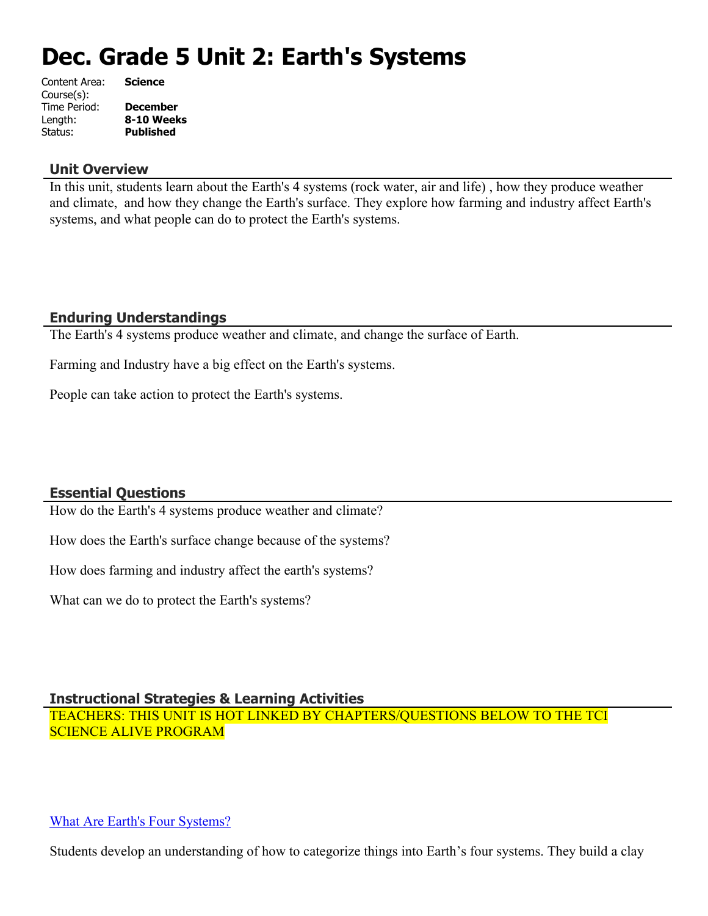# **Dec. Grade 5 Unit 2: Earth's Systems**

| Content Area: | <b>Science</b>   |
|---------------|------------------|
| Course(s):    |                  |
| Time Period:  | <b>December</b>  |
| Length:       | 8-10 Weeks       |
| Status:       | <b>Published</b> |
|               |                  |

#### **Unit Overview**

In this unit, students learn about the Earth's 4 systems (rock water, air and life) , how they produce weather and climate, and how they change the Earth's surface. They explore how farming and industry affect Earth's systems, and what people can do to protect the Earth's systems.

# **Enduring Understandings**

The Earth's 4 systems produce weather and climate, and change the surface of Earth.

Farming and Industry have a big effect on the Earth's systems.

People can take action to protect the Earth's systems.

## **Essential Questions**

How do the Earth's 4 systems produce weather and climate?

How does the Earth's surface change because of the systems?

How does farming and industry affect the earth's systems?

What can we do to protect the Earth's systems?

# **Instructional Strategies & Learning Activities**

TEACHERS: THIS UNIT IS HOT LINKED BY CHAPTERS/QUESTIONS BELOW TO THE TCI SCIENCE ALIVE PROGRAM

## [What Are Earth's Four Systems?](https://subscriptions.teachtci.com/shared/programs/156/lessons/1583/slide_shows)

Students develop an understanding of how to categorize things into Earth's four systems. They build a clay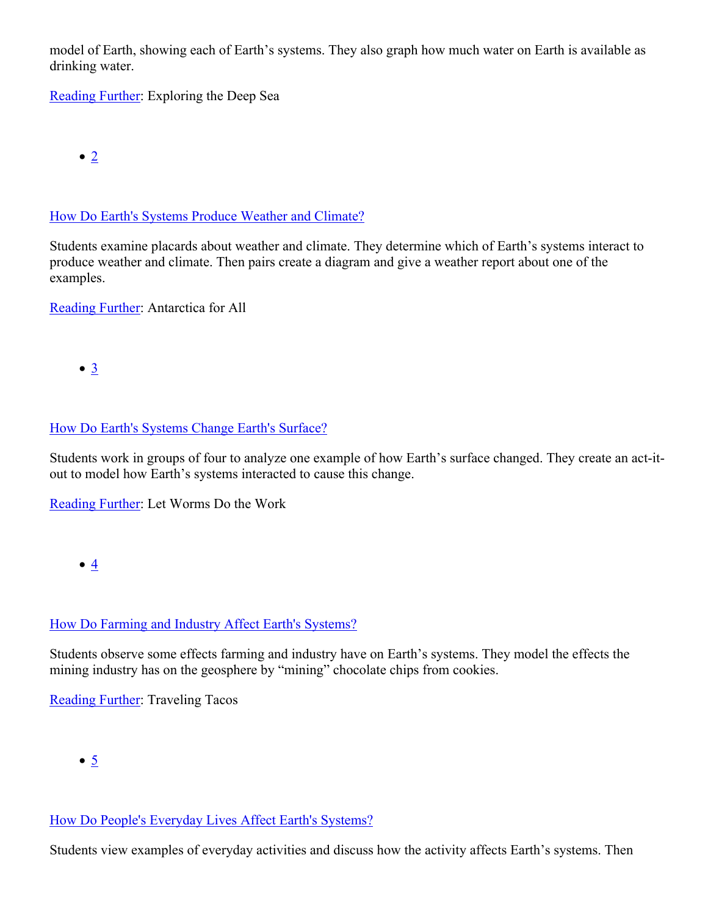model of Earth, showing each of Earth's systems. They also graph how much water on Earth is available as drinking water.

[Reading Further](https://subscriptions.teachtci.com/shared/sections/11681?program_id=156&student_view=true): Exploring the Deep Sea

 $\bullet$  [2](https://subscriptions.teachtci.com/shared/programs/156/lessons/1584/slide_shows)

## [How Do Earth's Systems Produce Weather and Climate?](https://subscriptions.teachtci.com/shared/programs/156/lessons/1584/slide_shows)

Students examine placards about weather and climate. They determine which of Earth's systems interact to produce weather and climate. Then pairs create a diagram and give a weather report about one of the examples.

[Reading Further](https://subscriptions.teachtci.com/shared/sections/11707?program_id=156&student_view=true): Antarctica for All

 $\bullet$  [3](https://subscriptions.teachtci.com/shared/programs/156/lessons/1585/slide_shows)

# [How Do Earth's Systems Change Earth's Surface?](https://subscriptions.teachtci.com/shared/programs/156/lessons/1585/slide_shows)

Students work in groups of four to analyze one example of how Earth's surface changed. They create an act-itout to model how Earth's systems interacted to cause this change.

[Reading Further](https://subscriptions.teachtci.com/shared/sections/11722?program_id=156&student_view=true): Let Worms Do the Work

 $\bullet$   $4$ 

# [How Do Farming and Industry Affect Earth's Systems?](https://subscriptions.teachtci.com/shared/programs/156/lessons/1586/slide_shows)

Students observe some effects farming and industry have on Earth's systems. They model the effects the mining industry has on the geosphere by "mining" chocolate chips from cookies.

[Reading Further](https://subscriptions.teachtci.com/shared/sections/11765?program_id=156&student_view=true): Traveling Tacos

 $\bullet$  [5](https://subscriptions.teachtci.com/shared/programs/156/lessons/1588/slide_shows)

## [How Do People's Everyday Lives Affect Earth's Systems?](https://subscriptions.teachtci.com/shared/programs/156/lessons/1588/slide_shows)

Students view examples of everyday activities and discuss how the activity affects Earth's systems. Then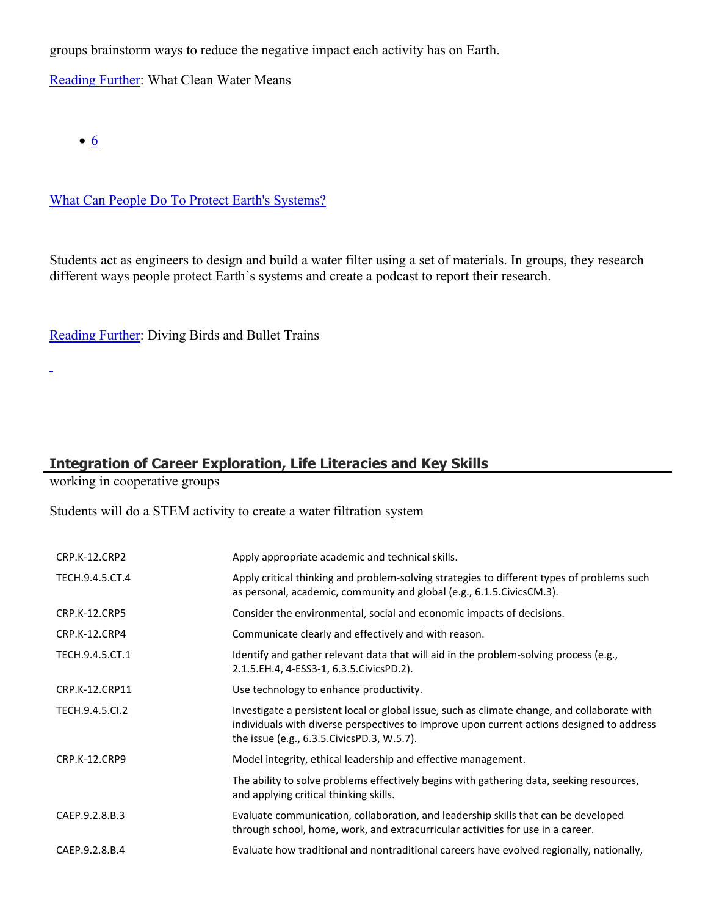groups brainstorm ways to reduce the negative impact each activity has on Earth.

[Reading Further](https://subscriptions.teachtci.com/shared/sections/11782?program_id=156&student_view=true): What Clean Water Means

 $\bullet$  [6](https://subscriptions.teachtci.com/shared/programs/156/lessons/1589/slide_shows)

 $\overline{a}$ 

[What Can People Do To Protect Earth's Systems?](https://subscriptions.teachtci.com/shared/programs/156/lessons/1589/slide_shows)

Students act as engineers to design and build a water filter using a set of materials. In groups, they research different ways people protect Earth's systems and create a podcast to report their research.

[Reading Further](https://subscriptions.teachtci.com/shared/sections/11818?program_id=156&student_view=true): Diving Birds and Bullet Trains

# **Integration of Career Exploration, Life Literacies and Key Skills**

working in cooperative groups

Students will do a STEM activity to create a water filtration system

| CRP.K-12.CRP2        | Apply appropriate academic and technical skills.                                                                                                                                                                                          |
|----------------------|-------------------------------------------------------------------------------------------------------------------------------------------------------------------------------------------------------------------------------------------|
| TECH.9.4.5.CT.4      | Apply critical thinking and problem-solving strategies to different types of problems such<br>as personal, academic, community and global (e.g., 6.1.5. Civics CM.3).                                                                     |
| <b>CRP.K-12.CRP5</b> | Consider the environmental, social and economic impacts of decisions.                                                                                                                                                                     |
| CRP.K-12.CRP4        | Communicate clearly and effectively and with reason.                                                                                                                                                                                      |
| TECH.9.4.5.CT.1      | Identify and gather relevant data that will aid in the problem-solving process (e.g.,<br>2.1.5.EH.4, 4-ESS3-1, 6.3.5.CivicsPD.2).                                                                                                         |
| CRP.K-12.CRP11       | Use technology to enhance productivity.                                                                                                                                                                                                   |
| TECH.9.4.5.Cl.2      | Investigate a persistent local or global issue, such as climate change, and collaborate with<br>individuals with diverse perspectives to improve upon current actions designed to address<br>the issue (e.g., 6.3.5. Civics PD.3, W.5.7). |
| <b>CRP.K-12.CRP9</b> | Model integrity, ethical leadership and effective management.                                                                                                                                                                             |
|                      | The ability to solve problems effectively begins with gathering data, seeking resources,<br>and applying critical thinking skills.                                                                                                        |
| CAEP.9.2.8.B.3       | Evaluate communication, collaboration, and leadership skills that can be developed<br>through school, home, work, and extracurricular activities for use in a career.                                                                     |
| CAEP.9.2.8.B.4       | Evaluate how traditional and nontraditional careers have evolved regionally, nationally,                                                                                                                                                  |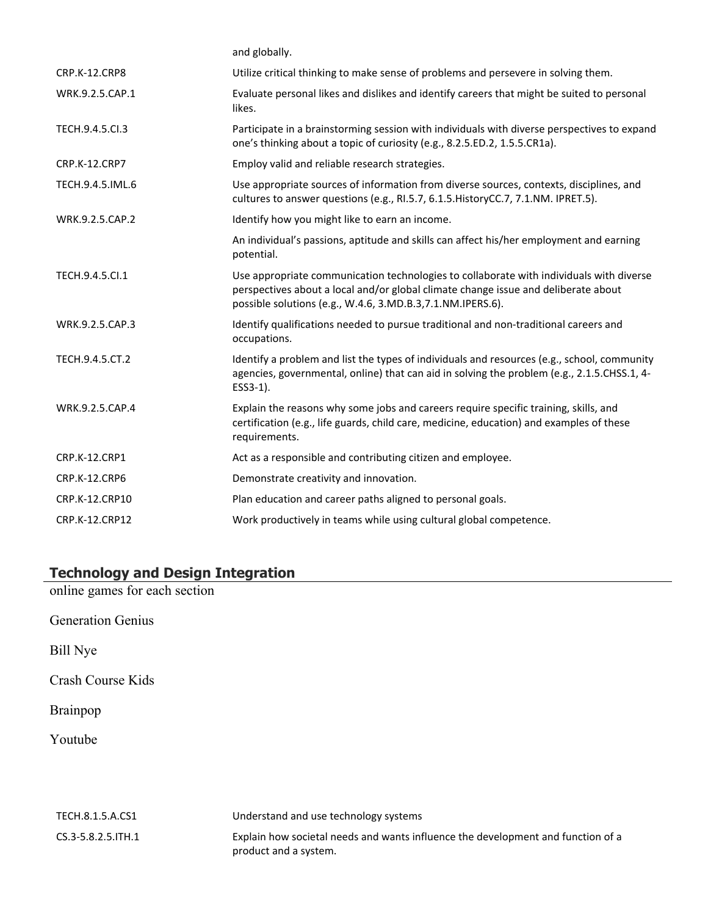|                      | and globally.                                                                                                                                                                                                                                |
|----------------------|----------------------------------------------------------------------------------------------------------------------------------------------------------------------------------------------------------------------------------------------|
| <b>CRP.K-12.CRP8</b> | Utilize critical thinking to make sense of problems and persevere in solving them.                                                                                                                                                           |
| WRK.9.2.5.CAP.1      | Evaluate personal likes and dislikes and identify careers that might be suited to personal<br>likes.                                                                                                                                         |
| TECH.9.4.5.Cl.3      | Participate in a brainstorming session with individuals with diverse perspectives to expand<br>one's thinking about a topic of curiosity (e.g., 8.2.5.ED.2, 1.5.5.CR1a).                                                                     |
| <b>CRP.K-12.CRP7</b> | Employ valid and reliable research strategies.                                                                                                                                                                                               |
| TECH.9.4.5.IML.6     | Use appropriate sources of information from diverse sources, contexts, disciplines, and<br>cultures to answer questions (e.g., RI.5.7, 6.1.5. History CC.7, 7.1. NM. IPRET.5).                                                               |
| WRK.9.2.5.CAP.2      | Identify how you might like to earn an income.                                                                                                                                                                                               |
|                      | An individual's passions, aptitude and skills can affect his/her employment and earning<br>potential.                                                                                                                                        |
| TECH.9.4.5.Cl.1      | Use appropriate communication technologies to collaborate with individuals with diverse<br>perspectives about a local and/or global climate change issue and deliberate about<br>possible solutions (e.g., W.4.6, 3.MD.B.3, 7.1.NM.IPERS.6). |
| WRK.9.2.5.CAP.3      | Identify qualifications needed to pursue traditional and non-traditional careers and<br>occupations.                                                                                                                                         |
| TECH.9.4.5.CT.2      | Identify a problem and list the types of individuals and resources (e.g., school, community<br>agencies, governmental, online) that can aid in solving the problem (e.g., 2.1.5.CHSS.1, 4-<br>ESS3-1).                                       |
| WRK.9.2.5.CAP.4      | Explain the reasons why some jobs and careers require specific training, skills, and<br>certification (e.g., life guards, child care, medicine, education) and examples of these<br>requirements.                                            |
| CRP.K-12.CRP1        | Act as a responsible and contributing citizen and employee.                                                                                                                                                                                  |
| CRP.K-12.CRP6        | Demonstrate creativity and innovation.                                                                                                                                                                                                       |
| CRP.K-12.CRP10       | Plan education and career paths aligned to personal goals.                                                                                                                                                                                   |
| CRP.K-12.CRP12       | Work productively in teams while using cultural global competence.                                                                                                                                                                           |
|                      |                                                                                                                                                                                                                                              |

## **Technology and Design Integration**

online games for each section

Generation Genius

Bill Nye

Crash Course Kids

Brainpop

Youtube

| TECH.8.1.5.A.CS1          | Understand and use technology systems                                            |
|---------------------------|----------------------------------------------------------------------------------|
| $CS.3 - 5.8.2.5$ . ITH. 1 | Explain how societal needs and wants influence the development and function of a |
|                           | product and a system.                                                            |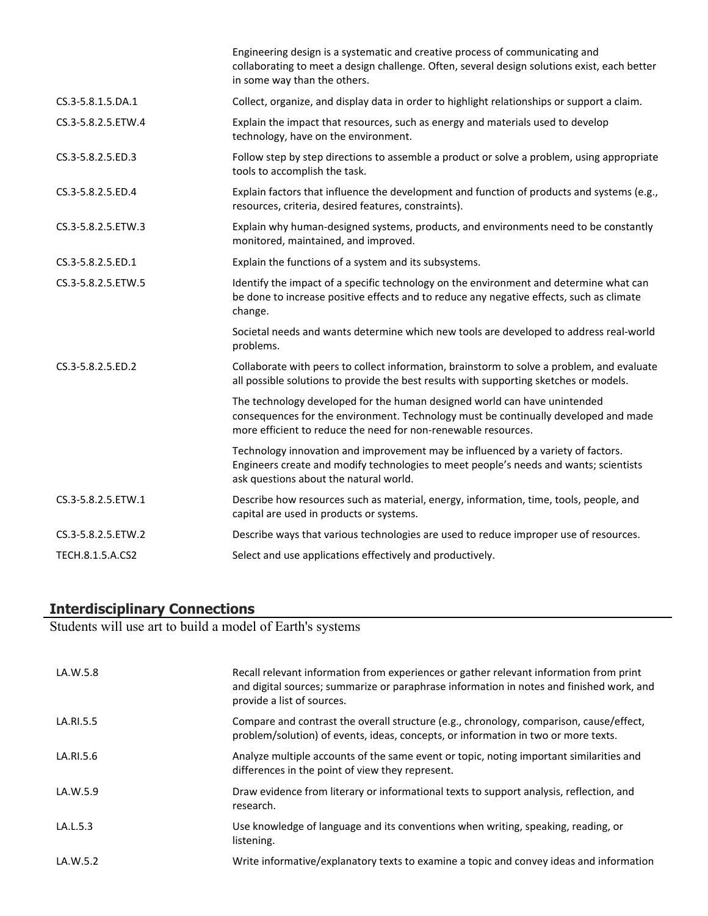|                    | Engineering design is a systematic and creative process of communicating and<br>collaborating to meet a design challenge. Often, several design solutions exist, each better<br>in some way than the others.                       |
|--------------------|------------------------------------------------------------------------------------------------------------------------------------------------------------------------------------------------------------------------------------|
| CS.3-5.8.1.5.DA.1  | Collect, organize, and display data in order to highlight relationships or support a claim.                                                                                                                                        |
| CS.3-5.8.2.5.ETW.4 | Explain the impact that resources, such as energy and materials used to develop<br>technology, have on the environment.                                                                                                            |
| CS.3-5.8.2.5.ED.3  | Follow step by step directions to assemble a product or solve a problem, using appropriate<br>tools to accomplish the task.                                                                                                        |
| CS.3-5.8.2.5.ED.4  | Explain factors that influence the development and function of products and systems (e.g.,<br>resources, criteria, desired features, constraints).                                                                                 |
| CS.3-5.8.2.5.ETW.3 | Explain why human-designed systems, products, and environments need to be constantly<br>monitored, maintained, and improved.                                                                                                       |
| CS.3-5.8.2.5.ED.1  | Explain the functions of a system and its subsystems.                                                                                                                                                                              |
| CS.3-5.8.2.5.ETW.5 | Identify the impact of a specific technology on the environment and determine what can<br>be done to increase positive effects and to reduce any negative effects, such as climate<br>change.                                      |
|                    | Societal needs and wants determine which new tools are developed to address real-world<br>problems.                                                                                                                                |
| CS.3-5.8.2.5.ED.2  | Collaborate with peers to collect information, brainstorm to solve a problem, and evaluate<br>all possible solutions to provide the best results with supporting sketches or models.                                               |
|                    | The technology developed for the human designed world can have unintended<br>consequences for the environment. Technology must be continually developed and made<br>more efficient to reduce the need for non-renewable resources. |
|                    | Technology innovation and improvement may be influenced by a variety of factors.<br>Engineers create and modify technologies to meet people's needs and wants; scientists<br>ask questions about the natural world.                |
| CS.3-5.8.2.5.ETW.1 | Describe how resources such as material, energy, information, time, tools, people, and<br>capital are used in products or systems.                                                                                                 |
| CS.3-5.8.2.5.ETW.2 | Describe ways that various technologies are used to reduce improper use of resources.                                                                                                                                              |
| TECH.8.1.5.A.CS2   | Select and use applications effectively and productively.                                                                                                                                                                          |

## **Interdisciplinary Connections**

Students will use art to build a model of Earth's systems

| LA.W.5.8  | Recall relevant information from experiences or gather relevant information from print<br>and digital sources; summarize or paraphrase information in notes and finished work, and<br>provide a list of sources. |
|-----------|------------------------------------------------------------------------------------------------------------------------------------------------------------------------------------------------------------------|
| LA.RI.5.5 | Compare and contrast the overall structure (e.g., chronology, comparison, cause/effect,<br>problem/solution) of events, ideas, concepts, or information in two or more texts.                                    |
| LA.RI.5.6 | Analyze multiple accounts of the same event or topic, noting important similarities and<br>differences in the point of view they represent.                                                                      |
| LA.W.5.9  | Draw evidence from literary or informational texts to support analysis, reflection, and<br>research.                                                                                                             |
| LA.L.5.3  | Use knowledge of language and its conventions when writing, speaking, reading, or<br>listening.                                                                                                                  |
| LA.W.5.2  | Write informative/explanatory texts to examine a topic and convey ideas and information                                                                                                                          |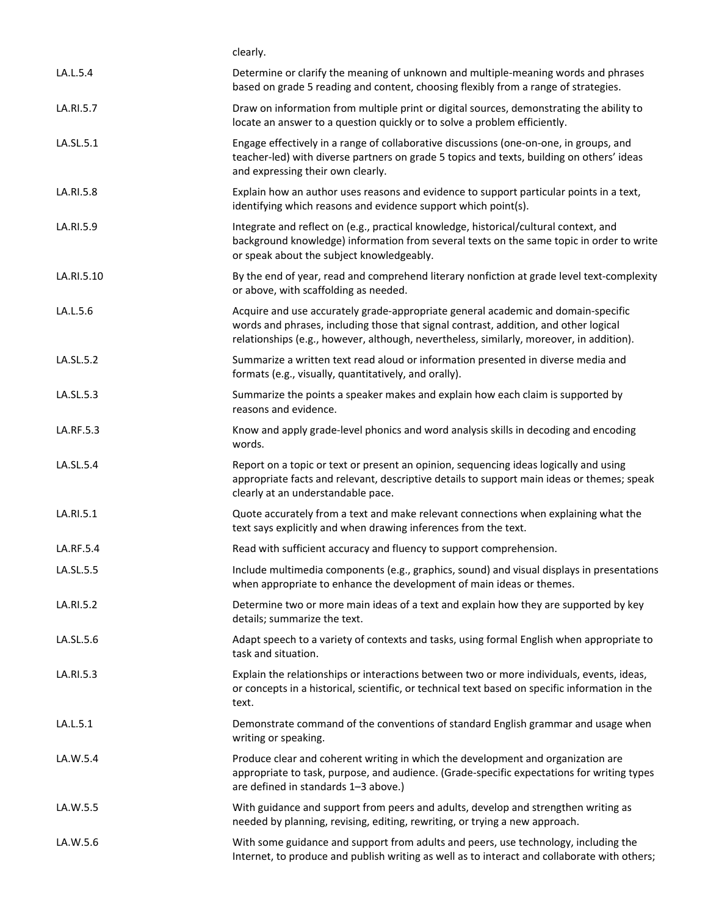|            | clearly.                                                                                                                                                                                                                                                              |
|------------|-----------------------------------------------------------------------------------------------------------------------------------------------------------------------------------------------------------------------------------------------------------------------|
| LA.L.5.4   | Determine or clarify the meaning of unknown and multiple-meaning words and phrases<br>based on grade 5 reading and content, choosing flexibly from a range of strategies.                                                                                             |
| LA.RI.5.7  | Draw on information from multiple print or digital sources, demonstrating the ability to<br>locate an answer to a question quickly or to solve a problem efficiently.                                                                                                 |
| LA.SL.5.1  | Engage effectively in a range of collaborative discussions (one-on-one, in groups, and<br>teacher-led) with diverse partners on grade 5 topics and texts, building on others' ideas<br>and expressing their own clearly.                                              |
| LA.RI.5.8  | Explain how an author uses reasons and evidence to support particular points in a text,<br>identifying which reasons and evidence support which point(s).                                                                                                             |
| LA.RI.5.9  | Integrate and reflect on (e.g., practical knowledge, historical/cultural context, and<br>background knowledge) information from several texts on the same topic in order to write<br>or speak about the subject knowledgeably.                                        |
| LA.RI.5.10 | By the end of year, read and comprehend literary nonfiction at grade level text-complexity<br>or above, with scaffolding as needed.                                                                                                                                   |
| LA.L.5.6   | Acquire and use accurately grade-appropriate general academic and domain-specific<br>words and phrases, including those that signal contrast, addition, and other logical<br>relationships (e.g., however, although, nevertheless, similarly, moreover, in addition). |
| LA.SL.5.2  | Summarize a written text read aloud or information presented in diverse media and<br>formats (e.g., visually, quantitatively, and orally).                                                                                                                            |
| LA.SL.5.3  | Summarize the points a speaker makes and explain how each claim is supported by<br>reasons and evidence.                                                                                                                                                              |
| LA.RF.5.3  | Know and apply grade-level phonics and word analysis skills in decoding and encoding<br>words.                                                                                                                                                                        |
| LA.SL.5.4  | Report on a topic or text or present an opinion, sequencing ideas logically and using<br>appropriate facts and relevant, descriptive details to support main ideas or themes; speak<br>clearly at an understandable pace.                                             |
| LA.RI.5.1  | Quote accurately from a text and make relevant connections when explaining what the<br>text says explicitly and when drawing inferences from the text.                                                                                                                |
| LA.RF.5.4  | Read with sufficient accuracy and fluency to support comprehension.                                                                                                                                                                                                   |
| LA.SL.5.5  | Include multimedia components (e.g., graphics, sound) and visual displays in presentations<br>when appropriate to enhance the development of main ideas or themes.                                                                                                    |
| LA.RI.5.2  | Determine two or more main ideas of a text and explain how they are supported by key<br>details; summarize the text.                                                                                                                                                  |
| LA.SL.5.6  | Adapt speech to a variety of contexts and tasks, using formal English when appropriate to<br>task and situation.                                                                                                                                                      |
| LA.RI.5.3  | Explain the relationships or interactions between two or more individuals, events, ideas,<br>or concepts in a historical, scientific, or technical text based on specific information in the<br>text.                                                                 |
| LA.L.5.1   | Demonstrate command of the conventions of standard English grammar and usage when<br>writing or speaking.                                                                                                                                                             |
| LA.W.5.4   | Produce clear and coherent writing in which the development and organization are<br>appropriate to task, purpose, and audience. (Grade-specific expectations for writing types<br>are defined in standards 1-3 above.)                                                |
| LA.W.5.5   | With guidance and support from peers and adults, develop and strengthen writing as<br>needed by planning, revising, editing, rewriting, or trying a new approach.                                                                                                     |
| LA.W.5.6   | With some guidance and support from adults and peers, use technology, including the<br>Internet, to produce and publish writing as well as to interact and collaborate with others;                                                                                   |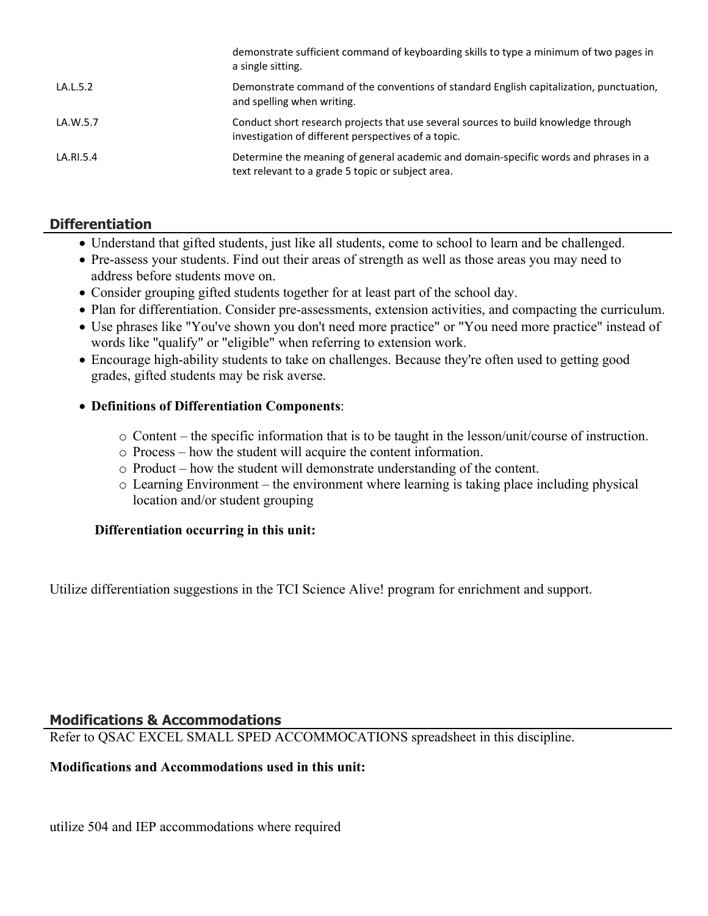|           | demonstrate sufficient command of keyboarding skills to type a minimum of two pages in<br>a single sitting.                                |
|-----------|--------------------------------------------------------------------------------------------------------------------------------------------|
| LA.L.5.2  | Demonstrate command of the conventions of standard English capitalization, punctuation,<br>and spelling when writing.                      |
| LA.W.5.7  | Conduct short research projects that use several sources to build knowledge through<br>investigation of different perspectives of a topic. |
| LA.RI.5.4 | Determine the meaning of general academic and domain-specific words and phrases in a<br>text relevant to a grade 5 topic or subject area.  |

# **Differentiation**

- Understand that gifted students, just like all students, come to school to learn and be challenged.
- Pre-assess your students. Find out their areas of strength as well as those areas you may need to address before students move on.
- Consider grouping gifted students together for at least part of the school day.
- Plan for differentiation. Consider pre-assessments, extension activities, and compacting the curriculum.
- Use phrases like "You've shown you don't need more practice" or "You need more practice" instead of words like "qualify" or "eligible" when referring to extension work.
- Encourage high-ability students to take on challenges. Because they're often used to getting good grades, gifted students may be risk averse.

# **Definitions of Differentiation Components**:

- o Content the specific information that is to be taught in the lesson/unit/course of instruction.
- o Process how the student will acquire the content information.
- o Product how the student will demonstrate understanding of the content.
- o Learning Environment the environment where learning is taking place including physical location and/or student grouping

# **Differentiation occurring in this unit:**

Utilize differentiation suggestions in the TCI Science Alive! program for enrichment and support.

# **Modifications & Accommodations**

Refer to QSAC EXCEL SMALL SPED ACCOMMOCATIONS spreadsheet in this discipline.

## **Modifications and Accommodations used in this unit:**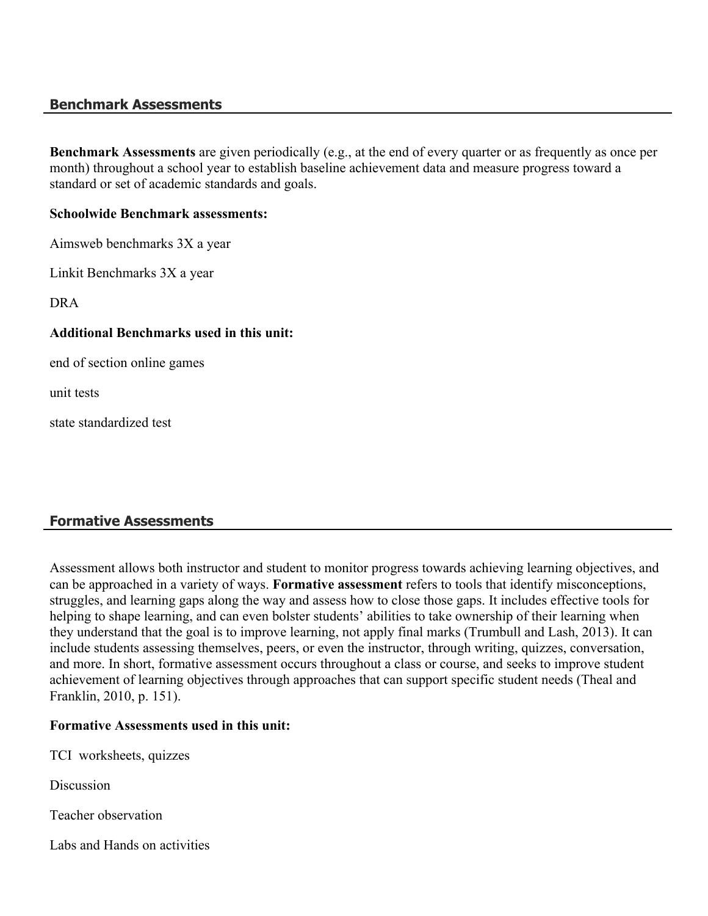## **Benchmark Assessments**

**Benchmark Assessments** are given periodically (e.g., at the end of every quarter or as frequently as once per month) throughout a school year to establish baseline achievement data and measure progress toward a standard or set of academic standards and goals.

#### **Schoolwide Benchmark assessments:**

Aimsweb benchmarks 3X a year

Linkit Benchmarks 3X a year

DRA

#### **Additional Benchmarks used in this unit:**

end of section online games

unit tests

state standardized test

# **Formative Assessments**

Assessment allows both instructor and student to monitor progress towards achieving learning objectives, and can be approached in a variety of ways. **Formative assessment** refers to tools that identify misconceptions, struggles, and learning gaps along the way and assess how to close those gaps. It includes effective tools for helping to shape learning, and can even bolster students' abilities to take ownership of their learning when they understand that the goal is to improve learning, not apply final marks (Trumbull and Lash, 2013). It can include students assessing themselves, peers, or even the instructor, through writing, quizzes, conversation, and more. In short, formative assessment occurs throughout a class or course, and seeks to improve student achievement of learning objectives through approaches that can support specific student needs (Theal and Franklin, 2010, p. 151).

#### **Formative Assessments used in this unit:**

TCI worksheets, quizzes

**Discussion** 

Teacher observation

Labs and Hands on activities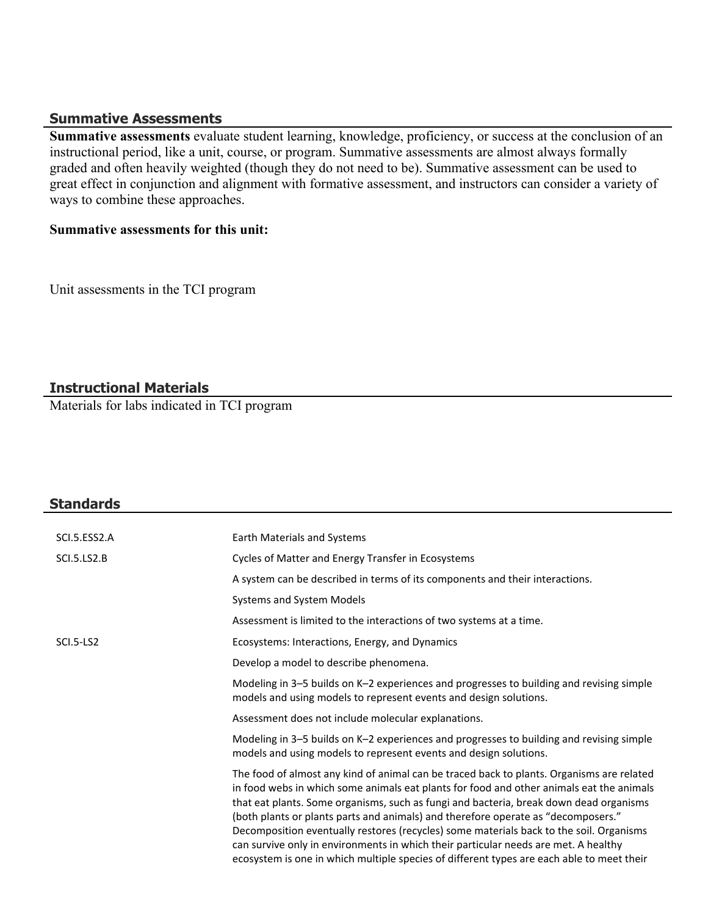#### **Summative Assessments**

**Summative assessments** evaluate student learning, knowledge, proficiency, or success at the conclusion of an instructional period, like a unit, course, or program. Summative assessments are almost always formally graded and often heavily weighted (though they do not need to be). Summative assessment can be used to great effect in conjunction and alignment with formative assessment, and instructors can consider a variety of ways to combine these approaches.

#### **Summative assessments for this unit:**

Unit assessments in the TCI program

# **Instructional Materials**

Materials for labs indicated in TCI program

| <b>Standards</b>   |                                                                                                                                                                                                                                                                                                                                                                                                                                                                                                                                                                                                                                                     |
|--------------------|-----------------------------------------------------------------------------------------------------------------------------------------------------------------------------------------------------------------------------------------------------------------------------------------------------------------------------------------------------------------------------------------------------------------------------------------------------------------------------------------------------------------------------------------------------------------------------------------------------------------------------------------------------|
| SCI.5.ESS2.A       |                                                                                                                                                                                                                                                                                                                                                                                                                                                                                                                                                                                                                                                     |
|                    | Earth Materials and Systems                                                                                                                                                                                                                                                                                                                                                                                                                                                                                                                                                                                                                         |
| <b>SCI.5.LS2.B</b> | Cycles of Matter and Energy Transfer in Ecosystems                                                                                                                                                                                                                                                                                                                                                                                                                                                                                                                                                                                                  |
|                    | A system can be described in terms of its components and their interactions.                                                                                                                                                                                                                                                                                                                                                                                                                                                                                                                                                                        |
|                    | Systems and System Models                                                                                                                                                                                                                                                                                                                                                                                                                                                                                                                                                                                                                           |
|                    | Assessment is limited to the interactions of two systems at a time.                                                                                                                                                                                                                                                                                                                                                                                                                                                                                                                                                                                 |
| SCI.5-LS2          | Ecosystems: Interactions, Energy, and Dynamics                                                                                                                                                                                                                                                                                                                                                                                                                                                                                                                                                                                                      |
|                    | Develop a model to describe phenomena.                                                                                                                                                                                                                                                                                                                                                                                                                                                                                                                                                                                                              |
|                    | Modeling in 3-5 builds on K-2 experiences and progresses to building and revising simple<br>models and using models to represent events and design solutions.                                                                                                                                                                                                                                                                                                                                                                                                                                                                                       |
|                    | Assessment does not include molecular explanations.                                                                                                                                                                                                                                                                                                                                                                                                                                                                                                                                                                                                 |
|                    | Modeling in 3-5 builds on K-2 experiences and progresses to building and revising simple<br>models and using models to represent events and design solutions.                                                                                                                                                                                                                                                                                                                                                                                                                                                                                       |
|                    | The food of almost any kind of animal can be traced back to plants. Organisms are related<br>in food webs in which some animals eat plants for food and other animals eat the animals<br>that eat plants. Some organisms, such as fungi and bacteria, break down dead organisms<br>(both plants or plants parts and animals) and therefore operate as "decomposers."<br>Decomposition eventually restores (recycles) some materials back to the soil. Organisms<br>can survive only in environments in which their particular needs are met. A healthy<br>ecosystem is one in which multiple species of different types are each able to meet their |